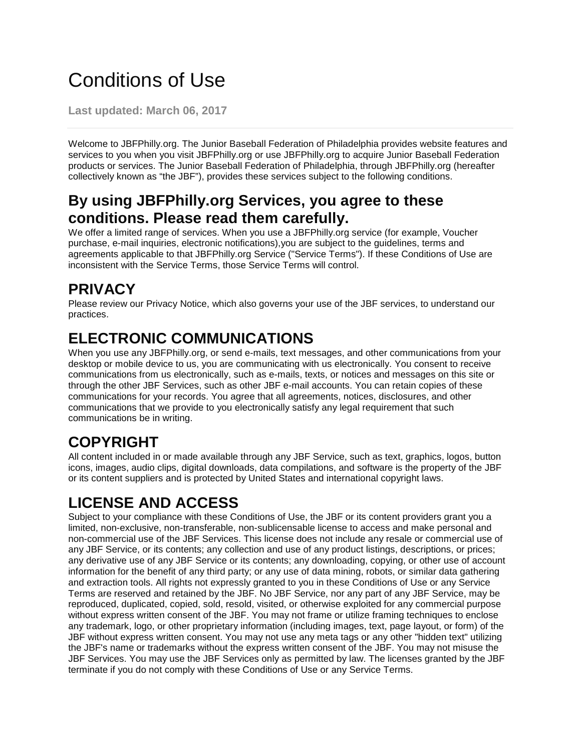# Conditions of Use

**Last updated: March 06, 2017**

Welcome to JBFPhilly.org. The Junior Baseball Federation of Philadelphia provides website features and services to you when you visit JBFPhilly.org or use JBFPhilly.org to acquire Junior Baseball Federation products or services. The Junior Baseball Federation of Philadelphia, through JBFPhilly.org (hereafter collectively known as "the JBF"), provides these services subject to the following conditions.

#### **By using JBFPhilly.org Services, you agree to these conditions. Please read them carefully.**

We offer a limited range of services. When you use a JBFPhilly.org service (for example, Voucher purchase, e-mail inquiries, electronic notifications),you are subject to the guidelines, terms and agreements applicable to that JBFPhilly.org Service ("Service Terms"). If these Conditions of Use are inconsistent with the Service Terms, those Service Terms will control.

#### **PRIVACY**

Please review our Privacy Notice, which also governs your use of the JBF services, to understand our practices.

## **ELECTRONIC COMMUNICATIONS**

When you use any JBFPhilly.org, or send e-mails, text messages, and other communications from your desktop or mobile device to us, you are communicating with us electronically. You consent to receive communications from us electronically, such as e-mails, texts, or notices and messages on this site or through the other JBF Services, such as other JBF e-mail accounts. You can retain copies of these communications for your records. You agree that all agreements, notices, disclosures, and other communications that we provide to you electronically satisfy any legal requirement that such communications be in writing.

# **COPYRIGHT**

All content included in or made available through any JBF Service, such as text, graphics, logos, button icons, images, audio clips, digital downloads, data compilations, and software is the property of the JBF or its content suppliers and is protected by United States and international copyright laws.

# **LICENSE AND ACCESS**

Subject to your compliance with these Conditions of Use, the JBF or its content providers grant you a limited, non-exclusive, non-transferable, non-sublicensable license to access and make personal and non-commercial use of the JBF Services. This license does not include any resale or commercial use of any JBF Service, or its contents; any collection and use of any product listings, descriptions, or prices; any derivative use of any JBF Service or its contents; any downloading, copying, or other use of account information for the benefit of any third party; or any use of data mining, robots, or similar data gathering and extraction tools. All rights not expressly granted to you in these Conditions of Use or any Service Terms are reserved and retained by the JBF. No JBF Service, nor any part of any JBF Service, may be reproduced, duplicated, copied, sold, resold, visited, or otherwise exploited for any commercial purpose without express written consent of the JBF. You may not frame or utilize framing techniques to enclose any trademark, logo, or other proprietary information (including images, text, page layout, or form) of the JBF without express written consent. You may not use any meta tags or any other "hidden text" utilizing the JBF's name or trademarks without the express written consent of the JBF. You may not misuse the JBF Services. You may use the JBF Services only as permitted by law. The licenses granted by the JBF terminate if you do not comply with these Conditions of Use or any Service Terms.